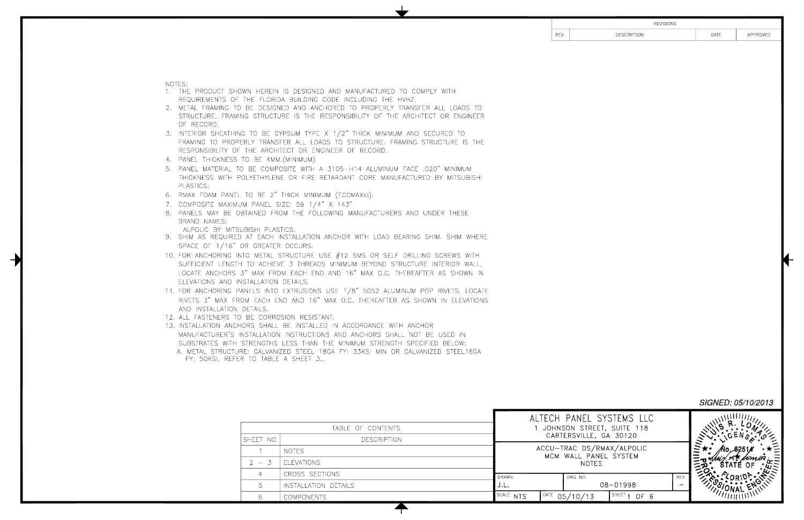NOTES:

- 1. THE PRODUCT SHO REQUIREMENTS OF
- 2. METAL FRAMING TO STRUCTURE. FRAMI OF RECORD.
- 3. INTERIOR SHEATHIN FRAMING TO PROPI RESPONSIBILITY OF
- 4. PANEL THICKNESS
- 5. PANEL MATERIAL T THICKNESS WITH P PLASTICS.
- 6. RMAX FOAM PANEL
- 7. COMPOSITE MAXIMU
- 8. PANELS MAY BE OI BRAND NAMES:

ALPOLIC BY MITSI

- 9. SHIM AS REQUIRED SPACE OF  $1/16"$
- 10. FOR ANCHORING IN SUFFICIENT LENGTH LOCATE ANCHORS ELEVATIONS AND II
- 11. FOR ANCHORING P. RIVETS 3" MAX FR AND INSTALLATION
- 12. ALL FASTENERS TO
- 13. INSTALLATION ANCH MANUFACTURER'S SUBSTRATES WITH
	- A. METAL STRUCTU FY: 50KSI, REFER

| <b>DESCRIPTION</b><br>APPROVED<br><b>REV</b><br>DATE<br>OWN HEREIN IS DESIGNED AND MANUFACTURED TO COMPLY WITH<br>THE FLORIDA BUILDING CODE INCLUDING THE HVHZ.<br>D BE DESIGNED AND ANCHORED TO PROPERLY TRANSFER ALL LOADS TO<br>ING STRUCTURE IS THE RESPONSIBILITY OF THE ARCHITECT OR ENGINEER<br>IG TO BE GYPSUM TYPE X 1/2" THICK MINIMUM AND SECURED TO<br>ERLY TRANSFER ALL LOADS TO STRUCTURE. FRAMING STRUCTURE IS THE<br>THE ARCHITECT OR ENGINEER OF RECORD.<br>TO BE 4MM.(MINIMUM)<br>O BE COMPOSITE WITH A 3105-H14 ALUMINUM FACE .020" MINIMUM<br>POLYETHYLENE OR FIRE RETARDANT CORE MANUFACTURED BY MITSUBISHI<br>. TO BE 2" THICK MINIMUM (ECOMAXci).<br>JM PANEL SIZE: 59 1/4" X 143"<br>BTAINED FROM THE FOLLOWING MANUFACTURERS AND UNDER THESE<br><b>UBISHI PLASTICS.</b><br>) AT EACH INSTALLATION ANCHOR WITH LOAD BEARING SHIM. SHIM WHERE<br>OR GREATER OCCURS.<br>NTO METAL STRUCTURE USE $#12$ SMS OR SELF DRILLING SCREWS WITH<br>H TO ACHIEVE 3 THREADS MINIMUM BEYOND STRUCTURE INTERIOR WALL.<br>3" MAX FROM EACH END AND 16" MAX O.C. THEREAFTER AS SHOWN IN<br><b>NSTALLATION DETAILS.</b><br>ANELS INTO EXTRUSIONS USE 1/8" 5052 ALUMINUM POP RIVETS. LOCATE<br>OM EACH END AND 16" MAX O.C. THEREAFTER AS SHOWN IN ELEVATIONS<br>DETAILS.<br>D BE CORROSION RESISTANT.<br>HORS SHALL BE INSTALLED IN ACCORDANCE WITH ANCHOR<br>INSTALLATION INSTRUCTIONS AND ANCHORS SHALL NOT BE USED IN<br>STRENGTHS LESS THAN THE MINIMUM STRENGTH SPECIFIED BELOW:<br>RE: GALVANIZED STEEL 18GA FY: 33KSI MIN OR GALVANIZED STEEL16GA<br>R TO TABLE A SHEET 3<br>SIGNED: 05/10/2013<br>ALTECH PANEL SYSTEMS LLC<br>JOHNSON STREET, SUITE 118<br>TABLE OF CONTENTS<br>CARTERSVILLE, GA 30120<br>SHEET NO.<br><b>DESCRIPTION</b><br>ACCU-TRAC DS/RMAX/ALPOLIC<br><b>NOTES</b><br>$\sqrt{1}$<br>MCM WALL PANEL SYSTEM<br><b>ELEVATIONS</b><br>$2 - 3$<br><b>NOTES</b><br>$\overline{4}$ |                |        |  |         |  | <b>REVISIONS</b> |  |  |
|---------------------------------------------------------------------------------------------------------------------------------------------------------------------------------------------------------------------------------------------------------------------------------------------------------------------------------------------------------------------------------------------------------------------------------------------------------------------------------------------------------------------------------------------------------------------------------------------------------------------------------------------------------------------------------------------------------------------------------------------------------------------------------------------------------------------------------------------------------------------------------------------------------------------------------------------------------------------------------------------------------------------------------------------------------------------------------------------------------------------------------------------------------------------------------------------------------------------------------------------------------------------------------------------------------------------------------------------------------------------------------------------------------------------------------------------------------------------------------------------------------------------------------------------------------------------------------------------------------------------------------------------------------------------------------------------------------------------------------------------------------------------------------------------------------------------------------------------------------------------------------------------------------------|----------------|--------|--|---------|--|------------------|--|--|
|                                                                                                                                                                                                                                                                                                                                                                                                                                                                                                                                                                                                                                                                                                                                                                                                                                                                                                                                                                                                                                                                                                                                                                                                                                                                                                                                                                                                                                                                                                                                                                                                                                                                                                                                                                                                                                                                                                               |                |        |  |         |  |                  |  |  |
|                                                                                                                                                                                                                                                                                                                                                                                                                                                                                                                                                                                                                                                                                                                                                                                                                                                                                                                                                                                                                                                                                                                                                                                                                                                                                                                                                                                                                                                                                                                                                                                                                                                                                                                                                                                                                                                                                                               |                |        |  |         |  |                  |  |  |
|                                                                                                                                                                                                                                                                                                                                                                                                                                                                                                                                                                                                                                                                                                                                                                                                                                                                                                                                                                                                                                                                                                                                                                                                                                                                                                                                                                                                                                                                                                                                                                                                                                                                                                                                                                                                                                                                                                               |                |        |  |         |  |                  |  |  |
|                                                                                                                                                                                                                                                                                                                                                                                                                                                                                                                                                                                                                                                                                                                                                                                                                                                                                                                                                                                                                                                                                                                                                                                                                                                                                                                                                                                                                                                                                                                                                                                                                                                                                                                                                                                                                                                                                                               |                |        |  |         |  |                  |  |  |
|                                                                                                                                                                                                                                                                                                                                                                                                                                                                                                                                                                                                                                                                                                                                                                                                                                                                                                                                                                                                                                                                                                                                                                                                                                                                                                                                                                                                                                                                                                                                                                                                                                                                                                                                                                                                                                                                                                               |                |        |  |         |  |                  |  |  |
|                                                                                                                                                                                                                                                                                                                                                                                                                                                                                                                                                                                                                                                                                                                                                                                                                                                                                                                                                                                                                                                                                                                                                                                                                                                                                                                                                                                                                                                                                                                                                                                                                                                                                                                                                                                                                                                                                                               |                |        |  |         |  |                  |  |  |
|                                                                                                                                                                                                                                                                                                                                                                                                                                                                                                                                                                                                                                                                                                                                                                                                                                                                                                                                                                                                                                                                                                                                                                                                                                                                                                                                                                                                                                                                                                                                                                                                                                                                                                                                                                                                                                                                                                               |                |        |  |         |  |                  |  |  |
|                                                                                                                                                                                                                                                                                                                                                                                                                                                                                                                                                                                                                                                                                                                                                                                                                                                                                                                                                                                                                                                                                                                                                                                                                                                                                                                                                                                                                                                                                                                                                                                                                                                                                                                                                                                                                                                                                                               |                |        |  |         |  |                  |  |  |
|                                                                                                                                                                                                                                                                                                                                                                                                                                                                                                                                                                                                                                                                                                                                                                                                                                                                                                                                                                                                                                                                                                                                                                                                                                                                                                                                                                                                                                                                                                                                                                                                                                                                                                                                                                                                                                                                                                               | CROSS SECTIONS | DRAWN: |  | DWG NO. |  | <b>REV</b>       |  |  |
| 08-01998<br>J.L.<br>5<br>INSTALLATION DETAILS                                                                                                                                                                                                                                                                                                                                                                                                                                                                                                                                                                                                                                                                                                                                                                                                                                                                                                                                                                                                                                                                                                                                                                                                                                                                                                                                                                                                                                                                                                                                                                                                                                                                                                                                                                                                                                                                 |                |        |  |         |  |                  |  |  |
| SCALE NTS<br>$10ATE$ 05/10/13<br>SHEET 1 OF 6<br><b>COMPONENTS</b><br>6                                                                                                                                                                                                                                                                                                                                                                                                                                                                                                                                                                                                                                                                                                                                                                                                                                                                                                                                                                                                                                                                                                                                                                                                                                                                                                                                                                                                                                                                                                                                                                                                                                                                                                                                                                                                                                       |                |        |  |         |  |                  |  |  |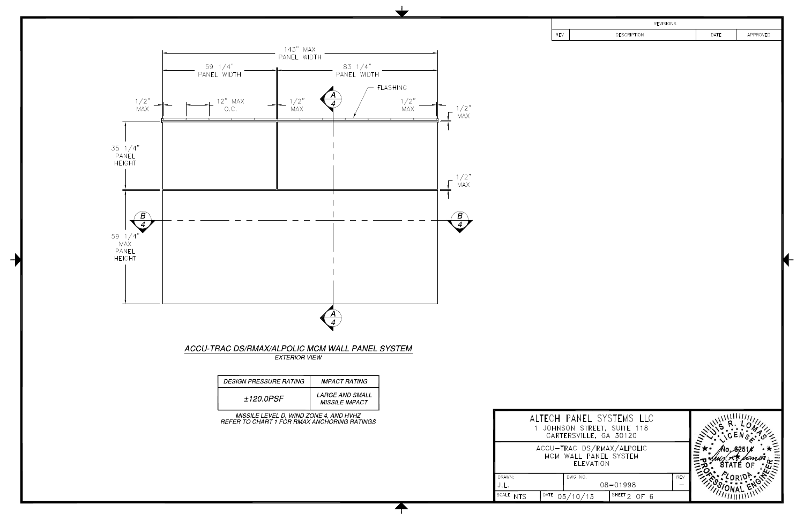

| <b>REVISIONS</b> |                                                       |      |          |  |  |
|------------------|-------------------------------------------------------|------|----------|--|--|
| <b>REV</b>       | <b>DESCRIPTION</b>                                    | DATE | APPROVED |  |  |
|                  |                                                       |      |          |  |  |
|                  |                                                       |      |          |  |  |
|                  |                                                       |      |          |  |  |
|                  |                                                       |      |          |  |  |
|                  |                                                       |      |          |  |  |
|                  |                                                       |      |          |  |  |
|                  |                                                       |      |          |  |  |
|                  |                                                       |      |          |  |  |
|                  |                                                       |      |          |  |  |
|                  |                                                       |      |          |  |  |
|                  |                                                       |      |          |  |  |
|                  |                                                       |      |          |  |  |
|                  |                                                       |      |          |  |  |
|                  |                                                       |      |          |  |  |
|                  |                                                       |      |          |  |  |
|                  |                                                       |      |          |  |  |
|                  |                                                       |      |          |  |  |
|                  |                                                       |      |          |  |  |
|                  |                                                       |      |          |  |  |
|                  |                                                       |      |          |  |  |
|                  |                                                       |      |          |  |  |
|                  |                                                       |      |          |  |  |
|                  |                                                       |      |          |  |  |
|                  |                                                       |      |          |  |  |
|                  |                                                       |      |          |  |  |
|                  |                                                       |      |          |  |  |
|                  |                                                       |      |          |  |  |
|                  | ALTECH PANEL SYSTEMS LLC                              |      |          |  |  |
|                  | 1 JOHNSON STREET, SUITE 118<br>CARTERSVILLE, GA 30120 |      |          |  |  |
|                  | ACCU-TRAC DS/RMAX/ALPOLIC                             |      |          |  |  |
|                  | MCM WALL PANEL SYSTEM<br>ELEVATION                    |      |          |  |  |
|                  | DWG NO.<br><b>REV</b>                                 |      |          |  |  |
|                  | 08-01998                                              |      |          |  |  |
|                  | $\overline{DATE}$ 05/10/13<br>SHEET 2 OF 6            |      |          |  |  |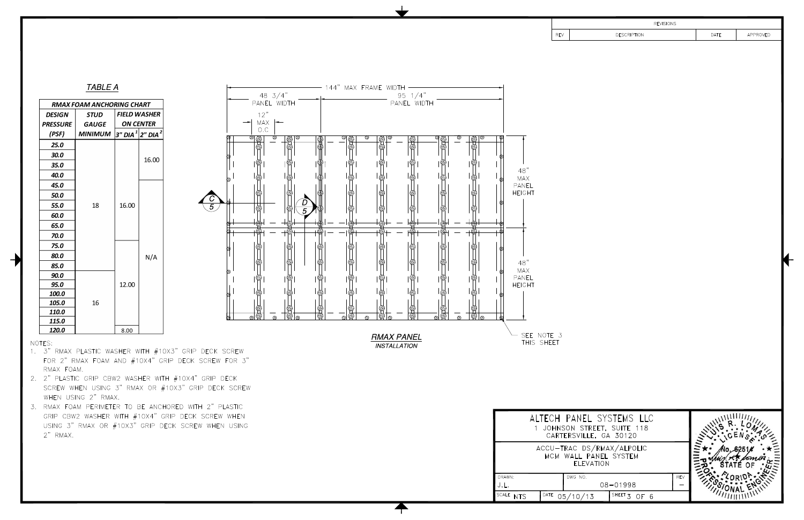|                                                                                                                                                        |                            | <b>REVISIONS</b>                                                                                                                                            |     |      |          |
|--------------------------------------------------------------------------------------------------------------------------------------------------------|----------------------------|-------------------------------------------------------------------------------------------------------------------------------------------------------------|-----|------|----------|
|                                                                                                                                                        | <b>REV</b>                 | <b>DESCRIPTION</b>                                                                                                                                          |     | DATE | APPROVED |
| ҩ<br>48"<br><b>MAX</b><br>⊗<br>PANEL<br><b>HEIGHT</b><br>ଷ<br>€<br>$48"$<br><b>MAX</b><br>⊗<br>PANEL<br><b>HEIGHT</b><br>œ<br>SEE NOTE 3<br>THIS SHEET |                            |                                                                                                                                                             |     |      |          |
|                                                                                                                                                        |                            | ALTECH PANEL SYSTEMS LLC<br>1 JOHNSON STREET, SUITE 118<br>CARTERSVILLE, GA 30120<br>ACCU-TRAC DS/RMAX/ALPOLIC<br>MCM WALL PANEL SYSTEM<br><b>ELEVATION</b> |     |      |          |
| DRAWN:                                                                                                                                                 | DWG NO.                    |                                                                                                                                                             | REV |      |          |
| J.L.                                                                                                                                                   |                            | 08-01998                                                                                                                                                    |     |      |          |
| SCALE NTS                                                                                                                                              | $\overline{DATE}$ 05/10/13 | SHEET $3$ OF 6                                                                                                                                              |     |      |          |



 $N/A$ 

**TABLE A** 

**RMAX FOAM ANCHORING CHART STUD** 

**GAUGE** 

18

**DESIGN** 

**PRESSURE** 

(PSF)

 $25.0$ 30.0

 $35.0$ 40.0 45.0 50.0 55.0

60.0 65.0 70.0 75.0 80.0  $|$  FIELD WASHER

**ON CENTER** 

16.00

| MINIMUM  $|$ 3" DIA $^{\, 1}|$ 2" DIA $^{\, 2}$ 

16.00



INSTALLATION

- 144" MAX FRAME WIDTH

# NOTES:

120.0

1. 3" RMAX PLASTIC WASHER WITH #10X3" GRIP DECK SCREW FOR 2" RMAX FOAM AND #10X4" GRIP DECK SCREW FOR 3" RMAX FOAM.

8.00

- 2. 2" PLASTIC GRIP CBW2 WASHER WITH #10X4" GRIP DECK SCREW WHEN USING 3" RMAX OR #10X3" GRIP DECK SCREW WHEN USING 2" RMAX.
- 3. RMAX FOAM PERIMETER TO BE ANCHORED WITH 2" PLASTIC GRIP CBW2 WASHER WITH #10X4" GRIP DECK SCREW WHEN USING 3" RMAX OR #10X3" GRIP DECK SCREW WHEN USING 2" RMAX.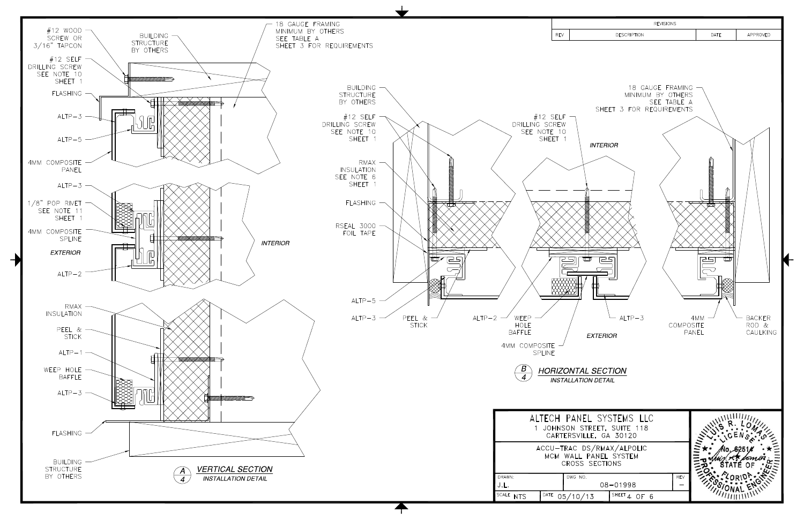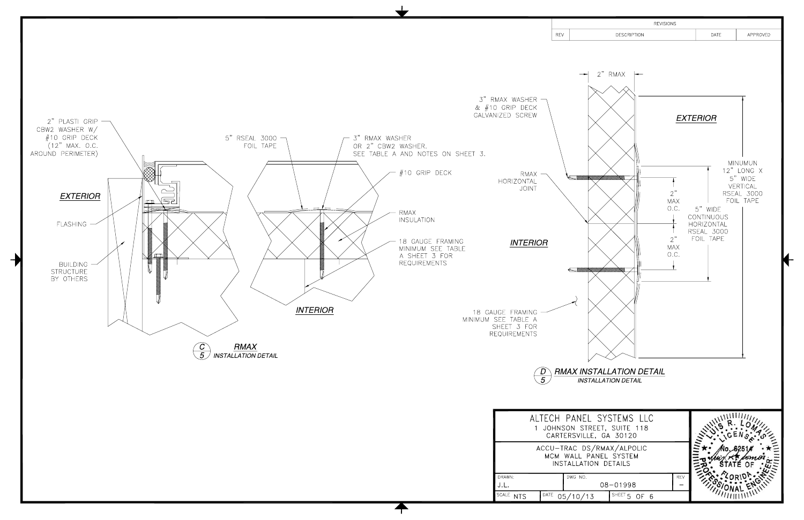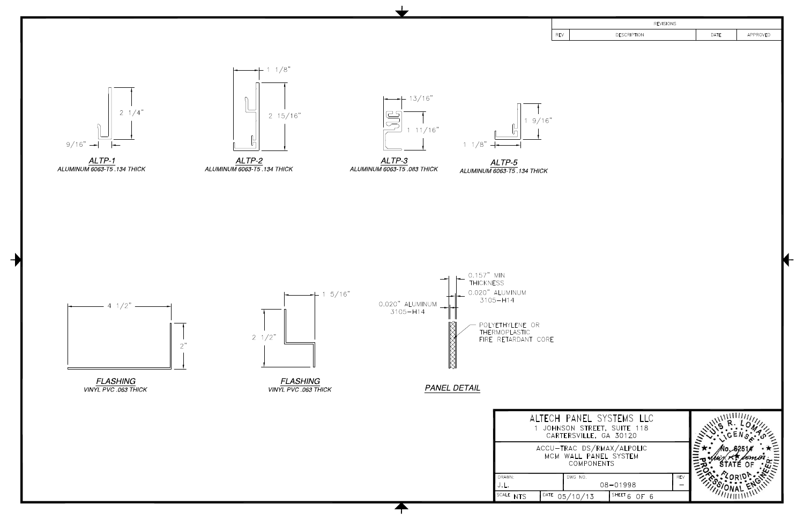

| <b>REVISIONS</b>                              |                             |          |
|-----------------------------------------------|-----------------------------|----------|
| <b>DESCRIPTION</b>                            | DATE                        | APPROVED |
|                                               |                             |          |
|                                               |                             |          |
|                                               |                             |          |
|                                               |                             |          |
|                                               |                             |          |
|                                               |                             |          |
|                                               |                             |          |
|                                               |                             |          |
|                                               |                             |          |
|                                               |                             |          |
|                                               |                             |          |
|                                               |                             |          |
|                                               |                             |          |
|                                               |                             |          |
|                                               |                             |          |
|                                               |                             |          |
|                                               |                             |          |
|                                               |                             |          |
|                                               |                             |          |
|                                               |                             |          |
|                                               |                             |          |
|                                               |                             |          |
|                                               |                             |          |
|                                               |                             |          |
|                                               |                             |          |
|                                               |                             |          |
|                                               |                             |          |
|                                               |                             |          |
|                                               |                             | 11111111 |
| SYSTEMS LLC<br>REET, SUITE 118<br>E, GA 30120 |                             |          |
|                                               |                             |          |
| ;/RMAX/ALPOLIC<br>ANEL SYSTEM                 |                             |          |
| <b>DNENTS</b>                                 |                             |          |
| <b>REV</b>                                    | <b>Drivesic</b><br>Filmonic |          |
| 08-01998                                      |                             |          |
| SHEET $6$ OF $6$<br>$\overline{3}$            |                             |          |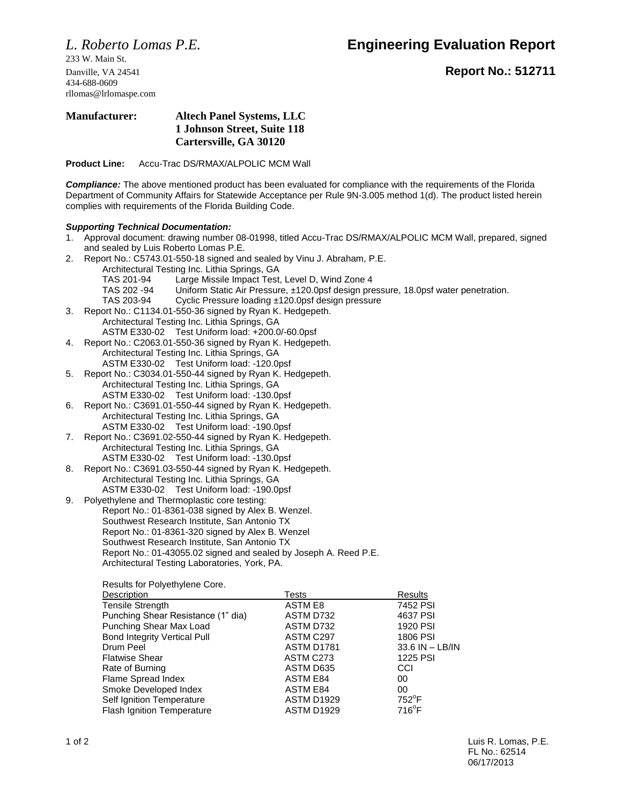*L. Roberto Lomas P.E.* **Engineering Evaluation Report**

233 W. Main St. 434-688-0609 rllomas@lrlomaspe.com

Danville, VA 24541 **Report No.: 512711**

### **Manufacturer: Altech Panel Systems, LLC 1 Johnson Street, Suite 118 Cartersville, GA 30120**

**Product Line:** Accu-Trac DS/RMAX/ALPOLIC MCM Wall

*Compliance:* The above mentioned product has been evaluated for compliance with the requirements of the Florida Department of Community Affairs for Statewide Acceptance per Rule 9N-3.005 method 1(d). The product listed herein complies with requirements of the Florida Building Code.

### *Supporting Technical Documentation:*

- 1. Approval document: drawing number 08-01998, titled Accu-Trac DS/RMAX/ALPOLIC MCM Wall, prepared, signed and sealed by Luis Roberto Lomas P.E.
- 2. Report No.: C5743.01-550-18 signed and sealed by Vinu J. Abraham, P.E. Architectural Testing Inc. Lithia Springs, GA
	- TAS 201-94 Large Missile Impact Test, Level D, Wind Zone 4
	- TAS 202 -94 Uniform Static Air Pressure, ±120.0psf design pressure, 18.0psf water penetration.
	- TAS 203-94 Cyclic Pressure loading ±120.0psf design pressure
- 3. Report No.: C1134.01-550-36 signed by Ryan K. Hedgepeth. Architectural Testing Inc. Lithia Springs, GA ASTM E330-02 Test Uniform load: +200.0/-60.0psf
- 4. Report No.: C2063.01-550-36 signed by Ryan K. Hedgepeth. Architectural Testing Inc. Lithia Springs, GA ASTM E330-02 Test Uniform load: -120.0psf
- 5. Report No.: C3034.01-550-44 signed by Ryan K. Hedgepeth. Architectural Testing Inc. Lithia Springs, GA ASTM E330-02 Test Uniform load: -130.0psf
- 6. Report No.: C3691.01-550-44 signed by Ryan K. Hedgepeth. Architectural Testing Inc. Lithia Springs, GA ASTM E330-02 Test Uniform load: -190.0psf
- 7. Report No.: C3691.02-550-44 signed by Ryan K. Hedgepeth. Architectural Testing Inc. Lithia Springs, GA ASTM E330-02 Test Uniform load: -130.0psf
- 8. Report No.: C3691.03-550-44 signed by Ryan K. Hedgepeth. Architectural Testing Inc. Lithia Springs, GA ASTM E330-02 Test Uniform load: -190.0psf
- 9. Polyethylene and Thermoplastic core testing: Report No.: 01-8361-038 signed by Alex B. Wenzel. Southwest Research Institute, San Antonio TX Report No.: 01-8361-320 signed by Alex B. Wenzel Southwest Research Institute, San Antonio TX Report No.: 01-43055.02 signed and sealed by Joseph A. Reed P.E. Architectural Testing Laboratories, York, PA.

Results for Polyethylene Core.

| Description                         | Tests             | Results         |
|-------------------------------------|-------------------|-----------------|
| <b>Tensile Strength</b>             | ASTM E8           | 7452 PSI        |
| Punching Shear Resistance (1" dia)  | ASTM D732         | 4637 PSI        |
| Punching Shear Max Load             | ASTM D732         | 1920 PSI        |
| <b>Bond Integrity Vertical Pull</b> | ASTM C297         | 1806 PSI        |
| Drum Peel                           | ASTM D1781        | 33.6 IN - LB/IN |
| <b>Flatwise Shear</b>               | ASTM C273         | 1225 PSI        |
| Rate of Burning                     | ASTM D635         | CCI             |
| Flame Spread Index                  | <b>ASTM E84</b>   | 00              |
| Smoke Developed Index               | ASTM E84          | 00              |
| Self Ignition Temperature           | <b>ASTM D1929</b> | $752^{\circ}$ F |
| <b>Flash Ignition Temperature</b>   | <b>ASTM D1929</b> | $716^{\circ}F$  |